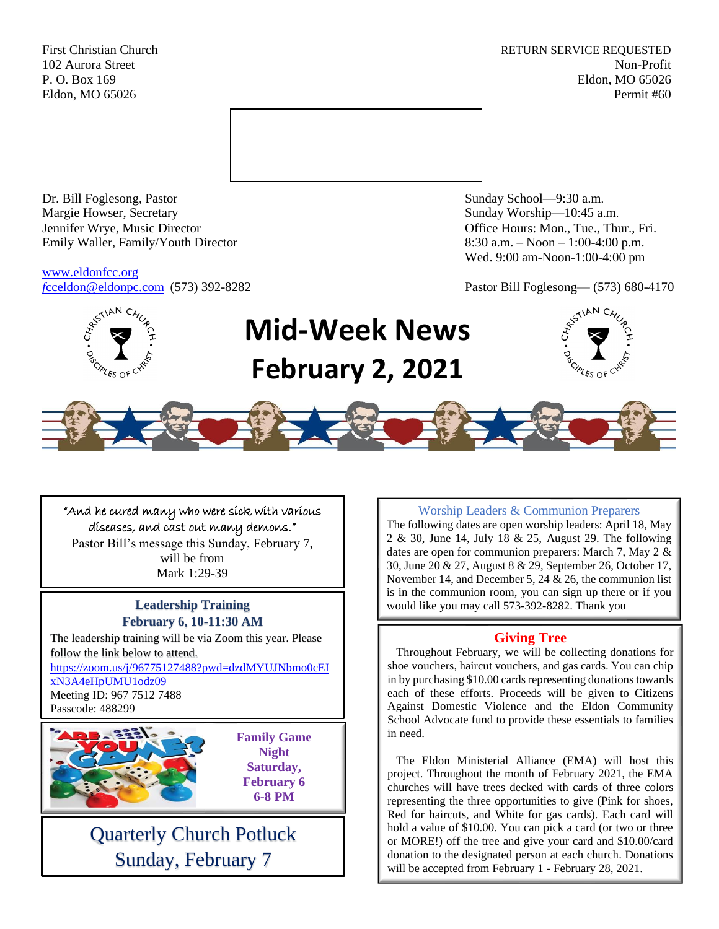First Christian Church **RETURN SERVICE REQUESTED** 102 Aurora Street Non-Profit P. O. Box 169 Eldon, MO 65026 Eldon, MO 65026 Permit #60



Dr. Bill Foglesong, Pastor Sunday School—9:30 a.m. Margie Howser, Secretary Sunday Worship—10:45 a.m. Jennifer Wrye, Music Director Office Hours: Mon., Tue., Thur., Fri. Emily Waller, Family/Youth Director 8:30 a.m. – Noon – 1:00-4:00 p.m.

[www.eldonfcc.org](http://www.eldonfcc.org/)

Wed. 9:00 am-Noon-1:00-4:00 pm

*f*[cceldon@eldonpc.com](mailto:fcceldon@eldonpc.com) (573) 392-8282 Pastor Bill Foglesong— (573) 680-4170



# **Mid-Week News February 2, 2021**





#### "And he cured many who were sick with various diseases, and cast out many demons."

Pastor Bill's message this Sunday, February 7, will be from Mark 1:29-39

## **February 6, 10-11:30 AM**

The leadership training will be via Zoom this year. Please follow the link below to attend.

[https://zoom.us/j/96775127488?pwd=dzdMYUJNbmo0cEI](https://zoom.us/j/96775127488?pwd=dzdMYUJNbmo0cEIxN3A4eHpUMU1odz09) [xN3A4eHpUMU1odz09](https://zoom.us/j/96775127488?pwd=dzdMYUJNbmo0cEIxN3A4eHpUMU1odz09)

Meeting ID: 967 7512 7488 Passcode: 488299



**Family Game Night Saturday, February 6 6-8 PM**

### Quarterly Church Potluck Sunday, February 7

#### Worship Leaders & Communion Preparers

The following dates are open worship leaders: April 18, May 2 & 30, June 14, July 18 & 25, August 29. The following dates are open for communion preparers: March 7, May 2 & 30, June 20 & 27, August 8 & 29, September 26, October 17, November 14, and December 5, 24 & 26, the communion list is in the communion room, you can sign up there or if you **Leadership Training**  $\vert$  would like you may call 573-392-8282. Thank you

#### **Giving Tree**

 Throughout February, we will be collecting donations for shoe vouchers, haircut vouchers, and gas cards. You can chip in by purchasing \$10.00 cards representing donations towards each of these efforts. Proceeds will be given to Citizens Against Domestic Violence and the Eldon Community School Advocate fund to provide these essentials to families in need.

 The Eldon Ministerial Alliance (EMA) will host this project. Throughout the month of February 2021, the EMA churches will have trees decked with cards of three colors representing the three opportunities to give (Pink for shoes, Red for haircuts, and White for gas cards). Each card will hold a value of \$10.00. You can pick a card (or two or three or MORE!) off the tree and give your card and \$10.00/card donation to the designated person at each church. Donations will be accepted from February 1 - February 28, 2021.